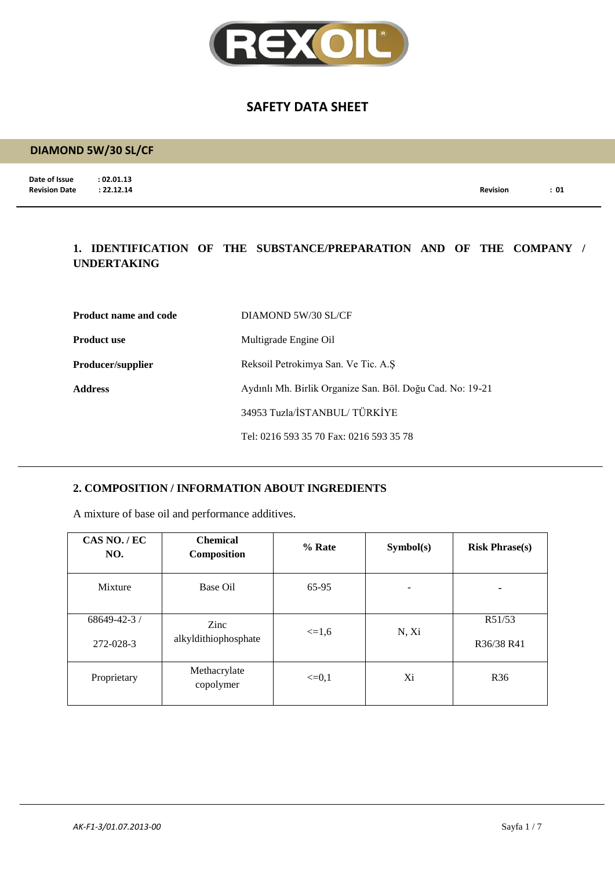

# **DIAMOND 5W/30 SL/CF**

**Date of Issue : 02.01.13**<br>**Revision Date : 22.12.14** 

**Revision Date : 22.12.14 Revision : 01**

### **1. IDENTIFICATION OF THE SUBSTANCE/PREPARATION AND OF THE COMPANY / UNDERTAKING**

| <b>Product name and code</b> | DIAMOND 5W/30 SL/CF                                       |
|------------------------------|-----------------------------------------------------------|
| <b>Product use</b>           | Multigrade Engine Oil                                     |
| <b>Producer/supplier</b>     | Reksoil Petrokimya San. Ve Tic. A.S.                      |
| <b>Address</b>               | Aydınlı Mh. Birlik Organize San. Böl. Doğu Cad. No: 19-21 |
|                              | 34953 Tuzla/İSTANBUL/TÜRKİYE                              |
|                              | Tel: 0216 593 35 70 Fax: 0216 593 35 78                   |

### **2. COMPOSITION / INFORMATION ABOUT INGREDIENTS**

A mixture of base oil and performance additives.

| CAS NO./EC<br>NO.               | <b>Chemical</b><br>Composition | % Rate     | Symbol(s) | <b>Risk Phrase(s)</b> |
|---------------------------------|--------------------------------|------------|-----------|-----------------------|
| Mixture                         | Base Oil                       | 65-95      | ۰         | ۰                     |
| $68649 - 42 - 3$ /<br>272-028-3 | Zinc<br>alkyldithiophosphate   | $\leq 1.6$ | N, Xi     | R51/53<br>R36/38 R41  |
| Proprietary                     | Methacrylate<br>copolymer      | $\leq=0,1$ | Xi        | R <sub>36</sub>       |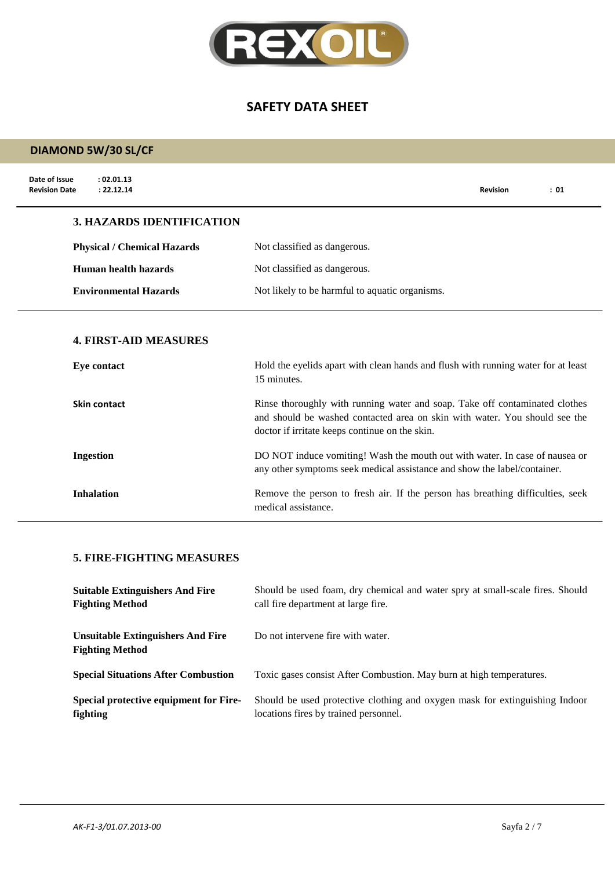

# **DIAMOND 5W/30 SL/CF**

| Date of Issue<br>: 02.01.13<br>: 22.12.14<br><b>Revision Date</b> |                                    |                                                                                                                                                                                                             | <b>Revision</b> | : 01 |
|-------------------------------------------------------------------|------------------------------------|-------------------------------------------------------------------------------------------------------------------------------------------------------------------------------------------------------------|-----------------|------|
|                                                                   | <b>3. HAZARDS IDENTIFICATION</b>   |                                                                                                                                                                                                             |                 |      |
|                                                                   | <b>Physical / Chemical Hazards</b> | Not classified as dangerous.                                                                                                                                                                                |                 |      |
|                                                                   | Human health hazards               | Not classified as dangerous.                                                                                                                                                                                |                 |      |
|                                                                   | <b>Environmental Hazards</b>       | Not likely to be harmful to aquatic organisms.                                                                                                                                                              |                 |      |
| <b>Eye contact</b>                                                | <b>4. FIRST-AID MEASURES</b>       | Hold the eyelids apart with clean hands and flush with running water for at least<br>15 minutes.                                                                                                            |                 |      |
| Skin contact                                                      |                                    | Rinse thoroughly with running water and soap. Take off contaminated clothes<br>and should be washed contacted area on skin with water. You should see the<br>doctor if irritate keeps continue on the skin. |                 |      |
| <b>Ingestion</b>                                                  |                                    | DO NOT induce vomiting! Wash the mouth out with water. In case of nausea or<br>any other symptoms seek medical assistance and show the label/container.                                                     |                 |      |
| <b>Inhalation</b>                                                 |                                    | Remove the person to fresh air. If the person has breathing difficulties, seek<br>medical assistance.                                                                                                       |                 |      |

### **5. FIRE-FIGHTING MEASURES**

| <b>Suitable Extinguishers And Fire</b>                             | Should be used foam, dry chemical and water spry at small-scale fires. Should |
|--------------------------------------------------------------------|-------------------------------------------------------------------------------|
| <b>Fighting Method</b>                                             | call fire department at large fire.                                           |
| <b>Unsuitable Extinguishers And Fire</b><br><b>Fighting Method</b> | Do not intervene fire with water.                                             |
| <b>Special Situations After Combustion</b>                         | Toxic gases consist After Combustion. May burn at high temperatures.          |
| Special protective equipment for Fire-                             | Should be used protective clothing and oxygen mask for extinguishing Indoor   |
| <b>fighting</b>                                                    | locations fires by trained personnel.                                         |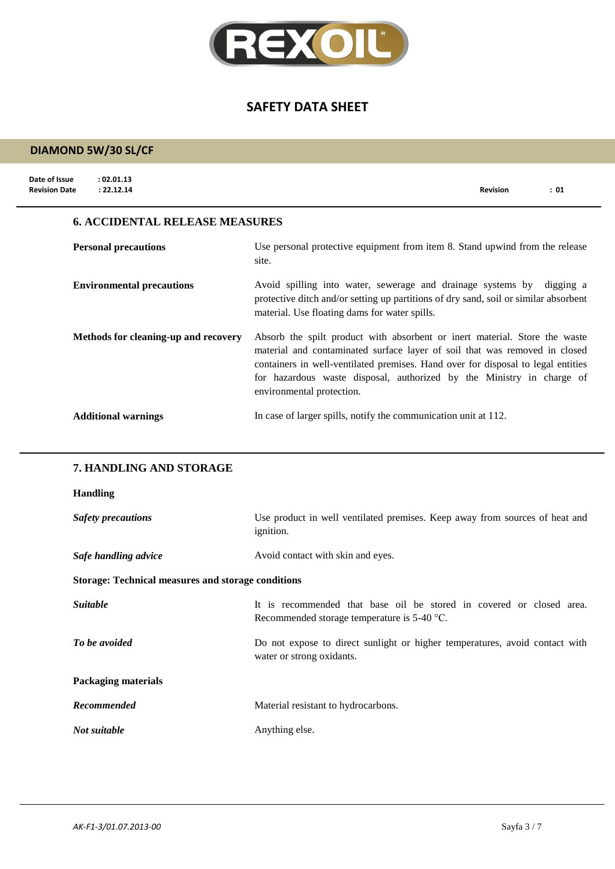

| <b>DIAMOND 5W/30 SL/CF</b>                                        |                                                                                                                                                                                                                                                                                                                                                    |
|-------------------------------------------------------------------|----------------------------------------------------------------------------------------------------------------------------------------------------------------------------------------------------------------------------------------------------------------------------------------------------------------------------------------------------|
| Date of Issue<br>: 02.01.13<br><b>Revision Date</b><br>: 22.12.14 | <b>Revision</b><br>: 01                                                                                                                                                                                                                                                                                                                            |
| <b>6. ACCIDENTAL RELEASE MEASURES</b>                             |                                                                                                                                                                                                                                                                                                                                                    |
| <b>Personal precautions</b>                                       | Use personal protective equipment from item 8. Stand upwind from the release<br>site.                                                                                                                                                                                                                                                              |
| <b>Environmental precautions</b>                                  | Avoid spilling into water, sewerage and drainage systems by digging a<br>protective ditch and/or setting up partitions of dry sand, soil or similar absorbent<br>material. Use floating dams for water spills.                                                                                                                                     |
| Methods for cleaning-up and recovery                              | Absorb the spilt product with absorbent or inert material. Store the waste<br>material and contaminated surface layer of soil that was removed in closed<br>containers in well-ventilated premises. Hand over for disposal to legal entities<br>for hazardous waste disposal, authorized by the Ministry in charge of<br>environmental protection. |
| <b>Additional warnings</b>                                        | In case of larger spills, notify the communication unit at 112.                                                                                                                                                                                                                                                                                    |
| 7. HANDLING AND STORAGE                                           |                                                                                                                                                                                                                                                                                                                                                    |
| <b>Handling</b>                                                   |                                                                                                                                                                                                                                                                                                                                                    |
| <b>Safety precautions</b>                                         | Use product in well ventilated premises. Keep away from sources of heat and                                                                                                                                                                                                                                                                        |

| <i>Outor productions</i>                                  | ose product in went ventitude premises. Heep away from sources of heat and<br><i>ignition.</i>                        |
|-----------------------------------------------------------|-----------------------------------------------------------------------------------------------------------------------|
| Safe handling advice                                      | Avoid contact with skin and eyes.                                                                                     |
| <b>Storage: Technical measures and storage conditions</b> |                                                                                                                       |
| <i>Suitable</i>                                           | It is recommended that base oil be stored in covered or closed area.<br>Recommended storage temperature is $5-40$ °C. |
| To be avoided                                             | Do not expose to direct sunlight or higher temperatures, avoid contact with<br>water or strong oxidants.              |
| <b>Packaging materials</b>                                |                                                                                                                       |
| <b>Recommended</b>                                        | Material resistant to hydrocarbons.                                                                                   |
| Not suitable                                              | Anything else.                                                                                                        |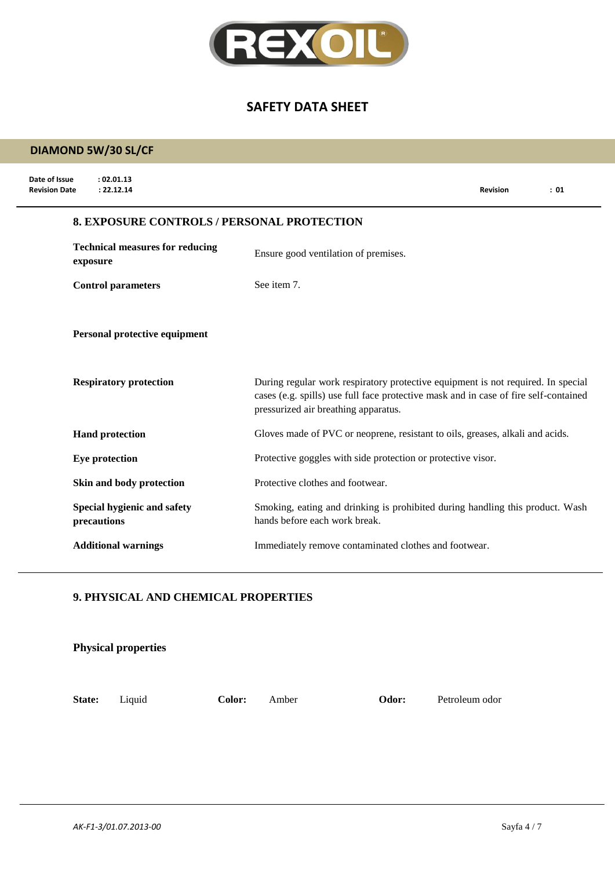

# **DIAMOND 5W/30 SL/CF**

| Date of Issue<br>: 02.01.13<br>: 22.12.14<br><b>Revision Date</b> |                                                   | <b>Revision</b>                                                                                                                                                          | : 01 |
|-------------------------------------------------------------------|---------------------------------------------------|--------------------------------------------------------------------------------------------------------------------------------------------------------------------------|------|
|                                                                   | <b>8. EXPOSURE CONTROLS / PERSONAL PROTECTION</b> |                                                                                                                                                                          |      |
| <b>Technical measures for reducing</b><br>exposure                | Ensure good ventilation of premises.              |                                                                                                                                                                          |      |
| <b>Control parameters</b>                                         | See item 7.                                       |                                                                                                                                                                          |      |
| Personal protective equipment                                     |                                                   |                                                                                                                                                                          |      |
| <b>Respiratory protection</b>                                     | pressurized air breathing apparatus.              | During regular work respiratory protective equipment is not required. In special<br>cases (e.g. spills) use full face protective mask and in case of fire self-contained |      |
| <b>Hand protection</b>                                            |                                                   | Gloves made of PVC or neoprene, resistant to oils, greases, alkali and acids.                                                                                            |      |
| Eye protection                                                    |                                                   | Protective goggles with side protection or protective visor.                                                                                                             |      |
| Skin and body protection                                          | Protective clothes and footwear.                  |                                                                                                                                                                          |      |
| Special hygienic and safety<br>precautions                        | hands before each work break.                     | Smoking, eating and drinking is prohibited during handling this product. Wash                                                                                            |      |
| <b>Additional warnings</b>                                        |                                                   | Immediately remove contaminated clothes and footwear.                                                                                                                    |      |

#### **9. PHYSICAL AND CHEMICAL PROPERTIES**

|        | <b>Physical properties</b> |        |       |       |                |
|--------|----------------------------|--------|-------|-------|----------------|
| State: | Liquid                     | Color: | Amber | Odor: | Petroleum odor |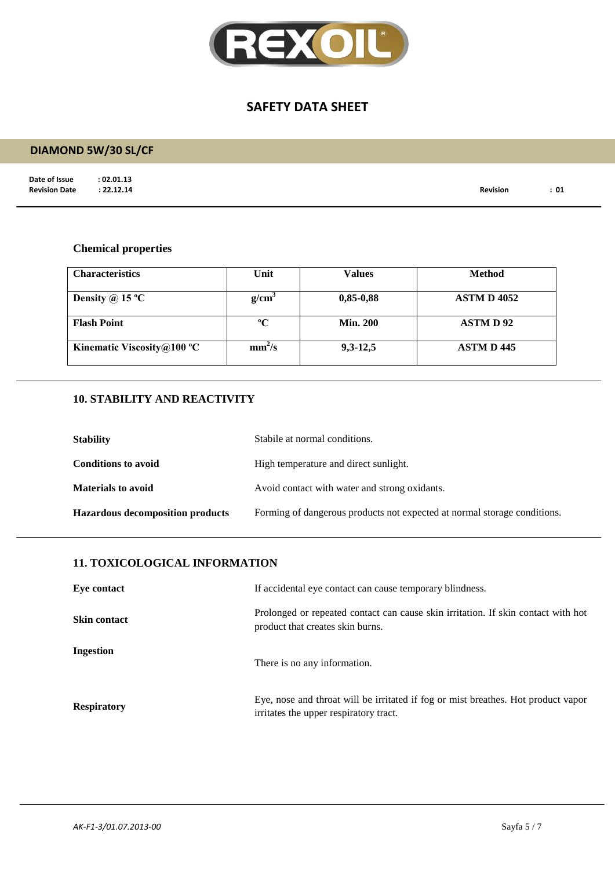

# **DIAMOND 5W/30 SL/CF**

**Date of Issue : 02.01.13<br>Revision Date : 22.12.14** 

**Revision Date : 22.12.14 Revision : 01**

#### **Chemical properties**

| <b>Characteristics</b>     | Unit               | <b>Values</b>   | <b>Method</b>      |
|----------------------------|--------------------|-----------------|--------------------|
| Density @ 15 $^{\circ}$ C  | g/cm <sup>3</sup>  | $0,85-0,88$     | <b>ASTM D 4052</b> |
| <b>Flash Point</b>         | $\rm ^{o}C$        | <b>Min. 200</b> | <b>ASTMD92</b>     |
| Kinematic Viscosity@100 °C | mm <sup>2</sup> /s | $9,3-12,5$      | <b>ASTM D 445</b>  |

### **10. STABILITY AND REACTIVITY**

| <b>Stability</b>                        | Stabile at normal conditions.                                            |
|-----------------------------------------|--------------------------------------------------------------------------|
| <b>Conditions to avoid</b>              | High temperature and direct sunlight.                                    |
| <b>Materials to avoid</b>               | Avoid contact with water and strong oxidants.                            |
| <b>Hazardous decomposition products</b> | Forming of dangerous products not expected at normal storage conditions. |

#### **11. TOXICOLOGICAL INFORMATION**

| Eye contact         | If accidental eye contact can cause temporary blindness.                                                                    |
|---------------------|-----------------------------------------------------------------------------------------------------------------------------|
| <b>Skin contact</b> | Prolonged or repeated contact can cause skin irritation. If skin contact with hot<br>product that creates skin burns.       |
| Ingestion           | There is no any information.                                                                                                |
| <b>Respiratory</b>  | Eye, nose and throat will be irritated if fog or mist breathes. Hot product vapor<br>irritates the upper respiratory tract. |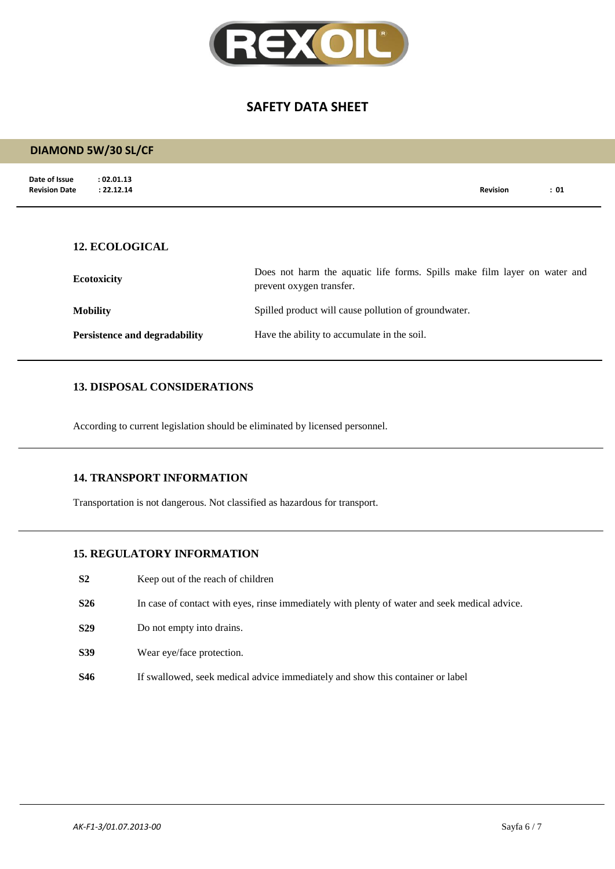

| <b>DIAMOND 5W/30 SL/CF</b>                                        |                                                                                                       |                 |      |
|-------------------------------------------------------------------|-------------------------------------------------------------------------------------------------------|-----------------|------|
| Date of Issue<br>: 02.01.13<br><b>Revision Date</b><br>: 22.12.14 |                                                                                                       | <b>Revision</b> | : 01 |
| <b>12. ECOLOGICAL</b>                                             |                                                                                                       |                 |      |
| <b>Ecotoxicity</b>                                                | Does not harm the aquatic life forms. Spills make film layer on water and<br>prevent oxygen transfer. |                 |      |
| <b>Mobility</b>                                                   | Spilled product will cause pollution of groundwater.                                                  |                 |      |
| <b>Persistence and degradability</b>                              | Have the ability to accumulate in the soil.                                                           |                 |      |

#### **13. DISPOSAL CONSIDERATIONS**

According to current legislation should be eliminated by licensed personnel.

#### **14. TRANSPORT INFORMATION**

Transportation is not dangerous. Not classified as hazardous for transport.

#### **15. REGULATORY INFORMATION**

- **S2** Keep out of the reach of children
- **S26** In case of contact with eyes, rinse immediately with plenty of water and seek medical advice.
- **S29** Do not empty into drains.
- **S39** Wear eye/face protection.
- **S46** If swallowed, seek medical advice immediately and show this container or label